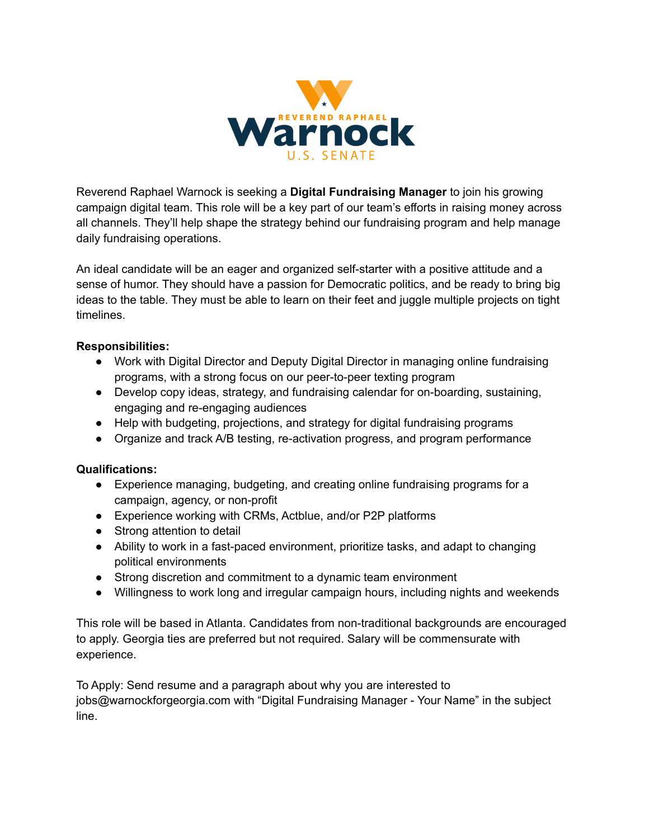

Reverend Raphael Warnock is seeking a **Digital Fundraising Manager** to join his growing campaign digital team. This role will be a key part of our team's efforts in raising money across all channels. They'll help shape the strategy behind our fundraising program and help manage daily fundraising operations.

An ideal candidate will be an eager and organized self-starter with a positive attitude and a sense of humor. They should have a passion for Democratic politics, and be ready to bring big ideas to the table. They must be able to learn on their feet and juggle multiple projects on tight timelines.

## **Responsibilities:**

- Work with Digital Director and Deputy Digital Director in managing online fundraising programs, with a strong focus on our peer-to-peer texting program
- Develop copy ideas, strategy, and fundraising calendar for on-boarding, sustaining, engaging and re-engaging audiences
- Help with budgeting, projections, and strategy for digital fundraising programs
- Organize and track A/B testing, re-activation progress, and program performance

## **Qualifications:**

- Experience managing, budgeting, and creating online fundraising programs for a campaign, agency, or non-profit
- Experience working with CRMs, Actblue, and/or P2P platforms
- Strong attention to detail
- Ability to work in a fast-paced environment, prioritize tasks, and adapt to changing political environments
- Strong discretion and commitment to a dynamic team environment
- Willingness to work long and irregular campaign hours, including nights and weekends

This role will be based in Atlanta. Candidates from non-traditional backgrounds are encouraged to apply. Georgia ties are preferred but not required. Salary will be commensurate with experience.

To Apply: Send resume and a paragraph about why you are interested to jobs@warnockforgeorgia.com with "Digital Fundraising Manager - Your Name" in the subject line.